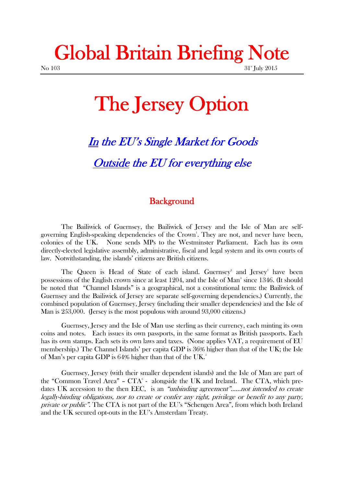## **Global Britain Briefing Note** No 103 31<sup>st</sup> July 2015

# **The Jersey Option**

# *In the EU's Single Market for Goods Outside the EU for everything else*

#### **Background**

The Bailiwick of Guernsey, the Bailiwick of Jersey and the Isle of Man are self governing English-speaking dependencies of the Crown<sup>1</sup>. They are not, and never have been, colonies of the UK. None sends MPs to the Westminster Parliament. Each has its own directly-elected legislative assembly, administrative, fiscal and legal system and its own courts of law. Notwithstanding, the islands' citizens are British citizens.

The Queen is Head of State of each island. Guernsey<sup>2</sup> and Jersey<sup>3</sup> have been possessions of the English crown since at least  $1204$ , and the Isle of Man<sup>4</sup> since  $1346$ . (It should be noted that "Channel Islands" is a geographical, not a constitutional term: the Bailiwick of Guernsey and the Bailiwick of Jersey are separate self-governing dependencies.) Currently, the combined population of Guernsey, Jersey (including their smaller dependencies) and the Isle of Man is 253,000. (Jersey is the most populous with around 93,000 citizens.)

Guernsey, Jersey and the Isle of Man use sterling as their currency, each minting its own coins and notes. Each issues its own passports, in the same format as British passports. Each has its own stamps. Each sets its own laws and taxes. (None applies VAT, a requirement of EU membership.) The Channel Islands' per capita GDP is 36% higher than that of the UK; the Isle of Man's per capita GDP is 64% higher than that of the UK.<sup>5</sup>

Guernsey, Jersey (with their smaller dependent islands) and the Isle of Man are part of the "Common Travel Area" –  $CTA<sup>6</sup>$  - alongside the UK and Ireland. The CTA, which predates UK accession to the then EEC, is an *"unbinding agreement"……not intended to create legally-binding obligations, nor to create or confer any right, privilege or benefit to any party, private or public".* The CTA is not part of the EU's "Schengen Area", from which both Ireland and the UK secured opt-outs in the EU's Amsterdam Treaty.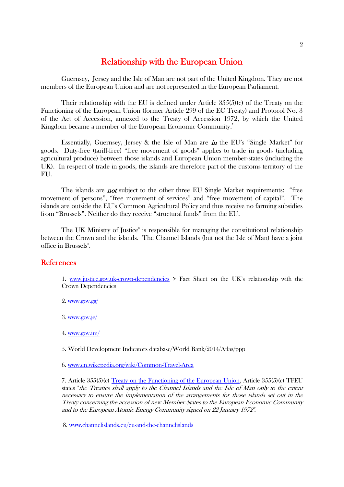#### **Relationship with the European Union**

Guernsey, Jersey and the Isle of Man are not part of the United Kingdom. They are not members of the European Union and are not represented in the European Parliament.

Their relationship with the EU is defined under Article 355(5)(c) of the Treaty on the Functioning of the European Union (former Article 299 of the EC Treaty) and Protocol No. 3 of the Act of Accession, annexed to the Treaty of Accession 1972, by which the United Kingdom became a member of the European Economic Community. 7

Essentially, Guernsey, Jersey & the Isle of Man are *in* the EU's "Single Market" for goods. Duty-free (tariff-free) "free movement of goods" applies to trade in goods (including agricultural produce) between those islands and European Union member-states (including the UK). In respect of trade in goods, the islands are therefore part of the customs territory of the EU.

The islands are *not* subject to the other three EU Single Market requirements: "free movement of persons", "free movement of services" and "free movement of capital". The islands are outside the EU's Common Agricultural Policy and thus receive no farming subsidies from "Brussels". Neither do they receive "structural funds" from the EU.

The UK Ministry of Justice<sup>8</sup> is responsible for managing the constitutional relationship between the Crown and the islands. The Channel Islands (but not the Isle of Man) have a joint office in Brussels<sup>8</sup>.

#### **References**

1. www.justice.gov.uk-crown-dependencies > Fact Sheet on the UK's relationship with the Crown Dependencies

- 2. www.gov.gg/
- 3. www.gov.je/
- 4. www.gov.im/

5. World Development Indicators database/World Bank/2014/Atlas/ppp

6. www.en.wikepedia.org/wiki/Common-Travel-Area

7. Article 355(5)(c) Treaty on the Functioning of the European Union, Article 355(5)(c) TFEU states "*the Treaties shall apply to the Channel Islands and the Isle of Man only to the extent necessary to ensure the implementation of the arrangements for those islands set out in the Treaty concerning the accession of new Member States to the European Economic Community and to the European Atomic Energy Community signed on 22 January 1972".*

8. www.channelislands.eu/eu-and-the-channelislands